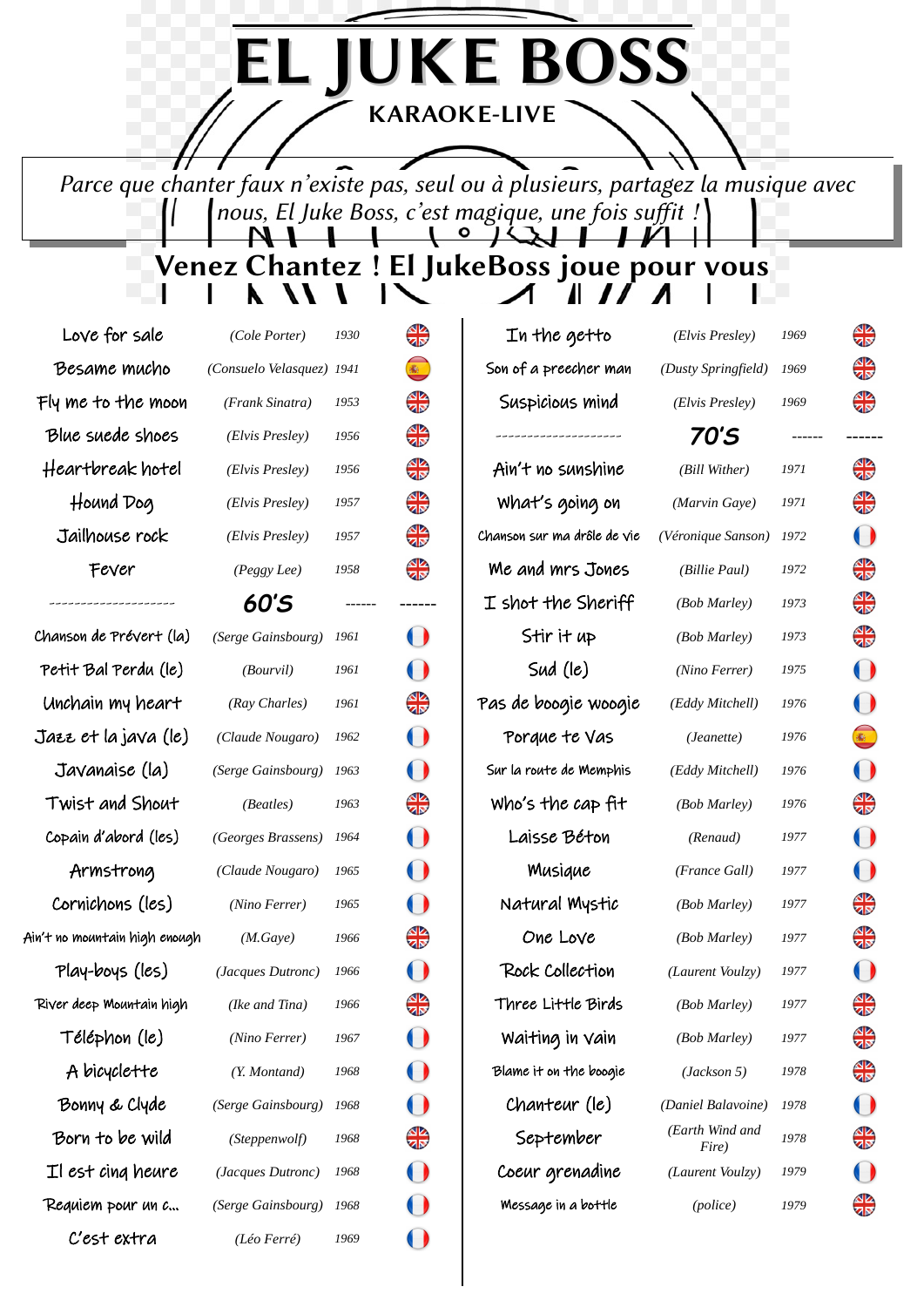KARAOKE-LIVE

EL JUKE BOSS

Parce que chanter faux n'existe pas, seul ou à plusieurs, partagez la musique avec nous, El Juke Boss, c'est magique, une fois suffit ! 11

Venez Chantez! El JukeBoss joue pour vous

| Love for sale                 | (Cole Porter)             | 1930 | ₩          | In the getto                | (Elvis Presley)          | 1969 | ₩            |
|-------------------------------|---------------------------|------|------------|-----------------------------|--------------------------|------|--------------|
| Besame mucho                  | (Consuelo Velasquez) 1941 |      |            | Son of a preecher man       | (Dusty Springfield)      | 1969 | ₩            |
| Fly me to the moon            | (Frank Sinatra)           | 1953 | ₩          | Suspicious mind             | (Elvis Presley)          | 1969 | ₩            |
| Blue suede shoes              | (Elvis Presley)           | 1956 | ₩          | ------------------------    | 70'S                     |      |              |
| Heartbreak hotel              | (Elvis Presley)           | 1956 | ╬          | Ain't no sunshine           | (Bill Wither)            | 1971 | ╬            |
| Hound Dog                     | (Elvis Presley)           | 1957 | ₩          | What's going on             | (Marvin Gaye)            | 1971 | ₩            |
| Jailhouse rock                | (Elvis Presley)           | 1957 | ₩          | Chanson sur ma drôle de vie | (Véronique Sanson)       | 1972 | $\bf{O}$     |
| Fever                         | (Peggy Lee)               | 1958 | ₩          | We and mrs Jones            | (Billie Paul)            | 1972 | ₩            |
|                               | 60'S                      |      | ------     | $I$ shot the Sheriff        | (Bob Marley)             | 1973 | ₩            |
| Chanson de Prévert (la)       | (Serge Gainsbourg)        | 1961 | $\bigcup$  | Stir it up                  | (Bob Marley)             | 1973 | ₩            |
| Petit Bal Perdu (le)          | (Bourvil)                 | 1961 | $\bf{O}$   | Sud (le)                    | (Nino Ferrer)            | 1975 | $\mathbf{O}$ |
| Unchain my heart              | (Ray Charles)             | 1961 | ₩          | Pas de boogie woogie        | (Eddy Mitchell)          | 1976 | $\mathbf{O}$ |
| Jazz et la java (le)          | (Claude Nougaro)          | 1962 | $\bigcirc$ | Porque te Vas               | (Jeanette)               | 1976 |              |
| Javanaise (la)                | (Serge Gainsbourg)        | 1963 | $\bigcup$  | Sur la route de Memphis     | (Eddy Mitchell)          | 1976 | $\mathbf{O}$ |
| Twist and Shout               | (Beatles)                 | 1963 | ₩          | Who's the cap fit           | (Bob Marley)             | 1976 | ₩            |
| Copain d'abord (les)          | (Georges Brassens)        | 1964 | $\bf O$    | Laisse Béton                | (Renaud)                 | 1977 | $\bf{O}$     |
| Armstrong                     | (Claude Nougaro)          | 1965 | $\bigcup$  | Musique                     | (France Gall)            | 1977 | $\mathbf O$  |
| Cornichons (les)              | (Nino Ferrer)             | 1965 | $\bf O$    | Natural Mystic              | (Bob Marley)             | 1977 | ╬            |
| Ain't no mountain high enough | (M.Gaye)                  | 1966 | ₩          | One Love                    | (Bob Marley)             | 1977 | ₩            |
| Play-boys (les)               | (Jacques Dutronc)         | 1966 | $\bigcup$  | Rock Collection             | (Laurent Voulzy)         | 1977 | $\bf O$      |
| River deep Mountain high      | (Ike and Tina)            | 1966 | ₩          | Three Little Birds          | (Bob Marley)             | 1977 | ₩            |
| Téléphon (le)                 | (Nino Ferrer)             | 1967 |            | Waiting in Vain             | (Bob Marley)             | 1977 | ₩            |
| A bicyclette                  | (Y. Montand)              | 1968 |            | Blame it on the boogie      | (Jackson 5)              | 1978 | ╬            |
| Bonny & Clyde                 | (Serge Gainsbourg)        | 1968 |            | Chanteur (le)               | (Daniel Balavoine)       | 1978 | $\bf{O}$     |
| Born to be wild               | (Steppenwolf)             | 1968 | ₩          | September                   | (Earth Wind and<br>Fire) | 1978 | ╬            |
| Il est cing heure             | (Jacques Dutronc)         | 1968 |            | Coeur grenadine             | (Laurent Voulzy)         | 1979 | $\mathbf{O}$ |
| Requiem pour un c             | (Serge Gainsbourg)        | 1968 |            | Message in a bottle         | (police)                 | 1979 | ₩            |
| C'est extra                   | (Léo Ferré)               | 1969 |            |                             |                          |      |              |